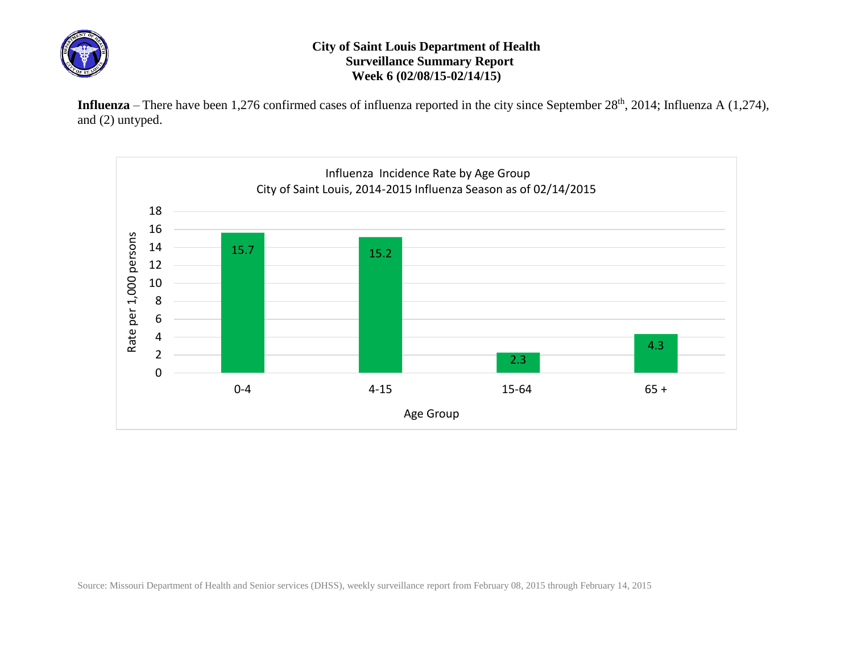

## **City of Saint Louis Department of Health Surveillance Summary Report Week 6 (02/08/15-02/14/15)**

Influenza – There have been 1,276 confirmed cases of influenza reported in the city since September 28<sup>th</sup>, 2014; Influenza A (1,274), and (2) untyped.



Source: Missouri Department of Health and Senior services (DHSS), weekly surveillance report from February 08, 2015 through February 14, 2015